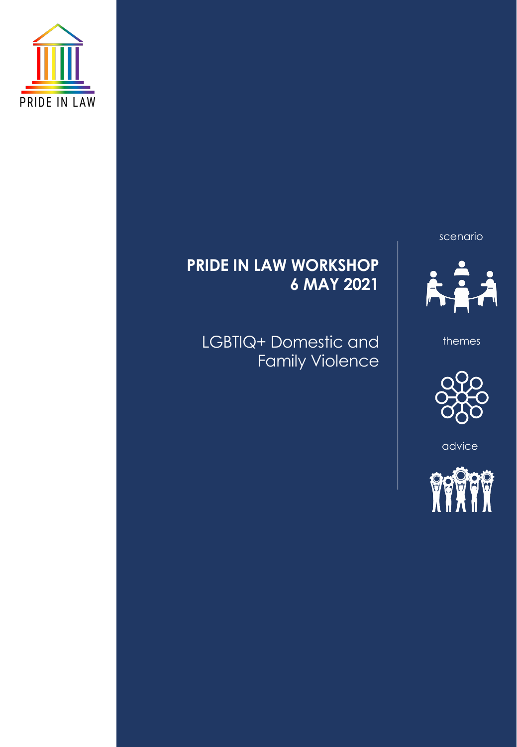



themes



advice



# **PRIDE IN LAW WORKSHOP 6 MAY 2021**

LGBTIQ+ Domestic and Family Violence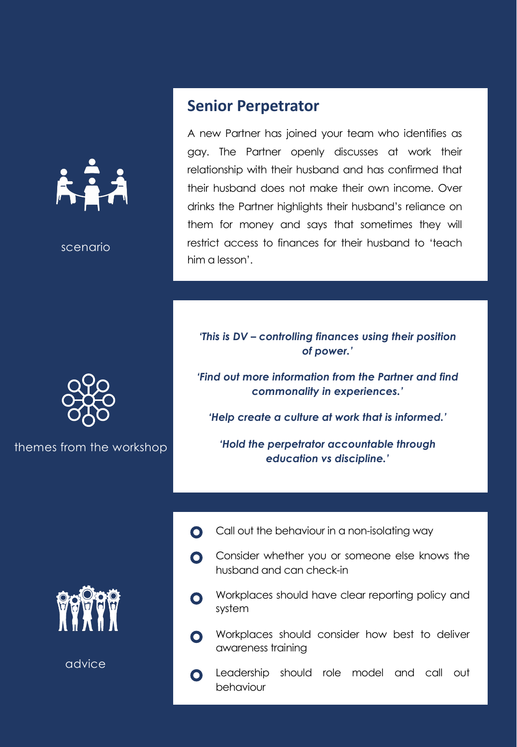

themes from the workshop



advice

## **Senior Perpetrator**

A new Partner has joined your team who identifies as gay. The Partner openly discusses at work their relationship with their husband and has confirmed that their husband does not make their own income. Over drinks the Partner highlights their husband's reliance on them for money and says that sometimes they will restrict access to finances for their husband to 'teach him a lesson'.

## *'This is DV – controlling finances using their position of power.'*

*'Find out more information from the Partner and find commonality in experiences.'*

*'Help create a culture at work that is informed.'*

*'Hold the perpetrator accountable through education vs discipline.'*

- Call out the behaviour in a non-isolating way  $\mathbf{O}$
- Consider whether you or someone else knows the  $\bullet$ husband and can check-in
- Workplaces should have clear reporting policy and  $\bullet$ system
- Workplaces should consider how best to deliver  $\bullet$ awareness training

Leadership should role model and call out  $\mathbf O$ behaviour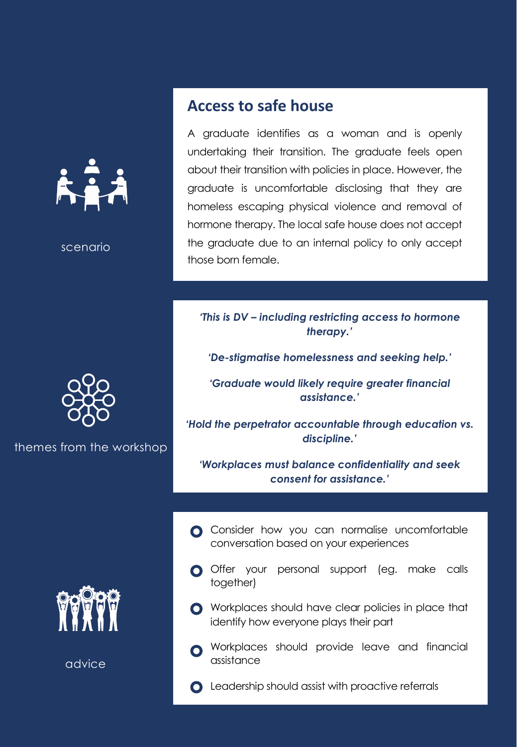



themes from the workshop



advice

## **Access to safe house**

A graduate identifies as a woman and is openly undertaking their transition. The graduate feels open about their transition with policies in place. However, the graduate is uncomfortable disclosing that they are homeless escaping physical violence and removal of hormone therapy. The local safe house does not accept the graduate due to an internal policy to only accept those born female.

#### *'This is DV – including restricting access to hormone therapy.'*

*'De-stigmatise homelessness and seeking help.'*

*'Graduate would likely require greater financial assistance.'*

*'Hold the perpetrator accountable through education vs. discipline.'*

*'Workplaces must balance confidentiality and seek consent for assistance.'*

- **C** Consider how you can normalise uncomfortable conversation based on your experiences
- O Offer your personal support (eg. make calls together)
- **O** Workplaces should have clear policies in place that identify how everyone plays their part
- **O** Workplaces should provide leave and financial assistance
- **Q** Leadership should assist with proactive referrals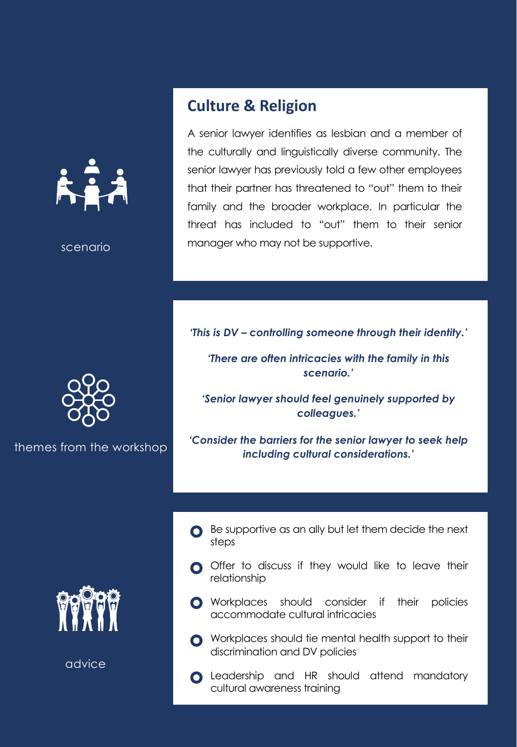

advice

## **Culture & Religion**

A senior lawyer identifies as lesbian and a member of the culturally and linguistically diverse community. The senior lawyer has previously told a few other employees that their partner has threatened to "out" them to their family and the broader workplace. In particular the threat has included to "out" them to their senior manager who may not be supportive.

*'This is DV – controlling someone through their identity.'* 

*'There are often intricacies with the family in this scenario.'*

*'Senior lawyer should feel genuinely supported by colleagues.'*

*'Consider the barriers for the senior lawyer to seek help including cultural considerations.'*

- Be supportive as an ally but let them decide the next steps
- O Offer to discuss if they would like to leave their relationship
- **O** Workplaces should consider if their policies accommodate cultural intricacies
- **O** Workplaces should tie mental health support to their discrimination and DV policies
- **C** Leadership and HR should attend mandatory cultural awareness training



themes from the workshop